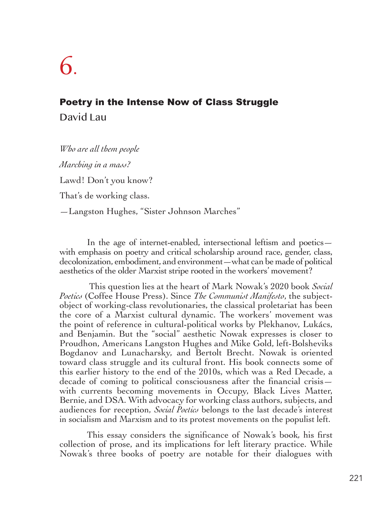## 6.

## Poetry in the Intense Now of Class Struggle David Lau

*Who are all them people Marching in a mass?* Lawd! Don't you know? That's de working class. —Langston Hughes, "Sister Johnson Marches"

In the age of internet-enabled, intersectional leftism and poetics with emphasis on poetry and critical scholarship around race, gender, class, decolonization, embodiment, and environment—what can be made of political aesthetics of the older Marxist stripe rooted in the workers' movement?

 This question lies at the heart of Mark Nowak's 2020 book *Social Poetics* (Coffee House Press). Since *The Communist Manifesto*, the subjectobject of working-class revolutionaries, the classical proletariat has been the core of a Marxist cultural dynamic. The workers' movement was the point of reference in cultural-political works by Plekhanov, Lukács, and Benjamin. But the "social" aesthetic Nowak expresses is closer to Proudhon, Americans Langston Hughes and Mike Gold, left-Bolsheviks Bogdanov and Lunacharsky, and Bertolt Brecht. Nowak is oriented toward class struggle and its cultural front. His book connects some of this earlier history to the end of the 2010s, which was a Red Decade, a decade of coming to political consciousness after the financial crisis with currents becoming movements in Occupy, Black Lives Matter, Bernie, and DSA. With advocacy for working class authors, subjects, and audiences for reception, *Social Poetics* belongs to the last decade's interest in socialism and Marxism and to its protest movements on the populist left.

This essay considers the significance of Nowak's book*,* his first collection of prose, and its implications for left literary practice. While Nowak's three books of poetry are notable for their dialogues with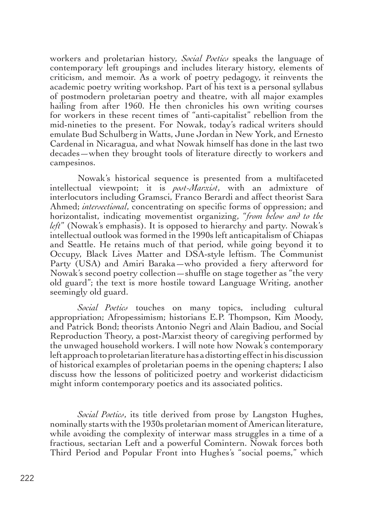workers and proletarian history, *Social Poetics* speaks the language of contemporary left groupings and includes literary history, elements of criticism, and memoir. As a work of poetry pedagogy, it reinvents the academic poetry writing workshop. Part of his text is a personal syllabus of postmodern proletarian poetry and theatre, with all major examples hailing from after 1960. He then chronicles his own writing courses for workers in these recent times of "anti-capitalist" rebellion from the mid-nineties to the present. For Nowak, today's radical writers should emulate Bud Schulberg in Watts, June Jordan in New York, and Ernesto Cardenal in Nicaragua, and what Nowak himself has done in the last two decades—when they brought tools of literature directly to workers and campesinos.

Nowak's historical sequence is presented from a multifaceted intellectual viewpoint; it is *post-Marxist*, with an admixture of interlocutors including Gramsci, Franco Berardi and affect theorist Sara Ahmed; *intersectional*, concentrating on specific forms of oppression; and horizontalist, indicating movementist organizing, "*from below and to the left*" (Nowak's emphasis). It is opposed to hierarchy and party. Nowak's intellectual outlook was formed in the 1990s left anticapitalism of Chiapas and Seattle. He retains much of that period, while going beyond it to Occupy, Black Lives Matter and DSA-style leftism. The Communist Party (USA) and Amiri Baraka—who provided a fiery afterword for Nowak's second poetry collection—shuffle on stage together as "the very old guard"; the text is more hostile toward Language Writing, another seemingly old guard.

*Social Poetics* touches on many topics, including cultural appropriation; Afropessimism; historians E.P. Thompson, Kim Moody, and Patrick Bond; theorists Antonio Negri and Alain Badiou, and Social Reproduction Theory, a post-Marxist theory of caregiving performed by the unwaged household workers. I will note how Nowak's contemporary left approach to proletarian literature has a distorting effect in his discussion of historical examples of proletarian poems in the opening chapters; I also discuss how the lessons of politicized poetry and workerist didacticism might inform contemporary poetics and its associated politics.

*Social Poetics*, its title derived from prose by Langston Hughes, nominally starts with the 1930s proletarian moment of American literature, while avoiding the complexity of interwar mass struggles in a time of a fractious, sectarian Left and a powerful Comintern. Nowak forces both Third Period and Popular Front into Hughes's "social poems," which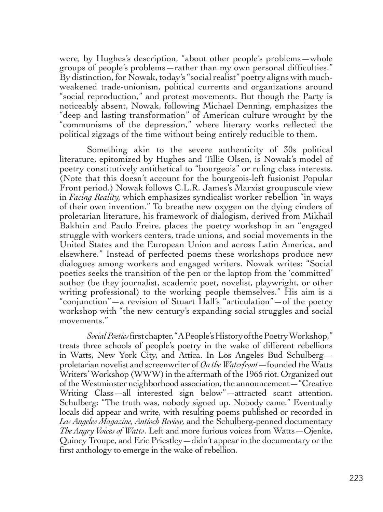were, by Hughes's description, "about other people's problems—whole groups of people's problems—rather than my own personal difficulties." By distinction, for Nowak, today's "social realist" poetry aligns with muchweakened trade-unionism, political currents and organizations around "social reproduction," and protest movements. But though the Party is noticeably absent, Nowak, following Michael Denning, emphasizes the "deep and lasting transformation" of American culture wrought by the "communisms of the depression," where literary works reflected the political zigzags of the time without being entirely reducible to them.

Something akin to the severe authenticity of 30s political literature, epitomized by Hughes and Tillie Olsen, is Nowak's model of poetry constitutively antithetical to "bourgeois" or ruling class interests. (Note that this doesn't account for the bourgeois-left fusionist Popular Front period.) Nowak follows C.L.R. James's Marxist groupuscule view in *Facing Reality,* which emphasizes syndicalist worker rebellion "in ways of their own invention." To breathe new oxygen on the dying cinders of proletarian literature, his framework of dialogism, derived from Mikhail Bakhtin and Paulo Freire, places the poetry workshop in an "engaged struggle with workers centers, trade unions, and social movements in the United States and the European Union and across Latin America, and elsewhere." Instead of perfected poems these workshops produce new dialogues among workers and engaged writers. Nowak writes: "Social poetics seeks the transition of the pen or the laptop from the 'committed' author (be they journalist, academic poet, novelist, playwright, or other writing professional) to the working people themselves." His aim is a "conjunction"—a revision of Stuart Hall's "articulation"—of the poetry workshop with "the new century's expanding social struggles and social movements."

*Social Poetics* first chapter, "A People's History of the Poetry Workshop," treats three schools of people's poetry in the wake of different rebellions in Watts, New York City, and Attica. In Los Angeles Bud Schulberg proletarian novelist and screenwriter of *On the Waterfront*—founded the Watts Writers' Workshop (WWW) in the aftermath of the 1965 riot. Organized out of the Westminster neighborhood association, the announcement—"Creative Writing Class—all interested sign below"—attracted scant attention. Schulberg: "The truth was, nobody signed up. Nobody came." Eventually locals did appear and write, with resulting poems published or recorded in *Los Angeles Magazine, Antioch Review,* and the Schulberg-penned documentary *The Angry Voices of Watts*. Left and more furious voices from Watts—Ojenke, Quincy Troupe, and Eric Priestley—didn't appear in the documentary or the first anthology to emerge in the wake of rebellion.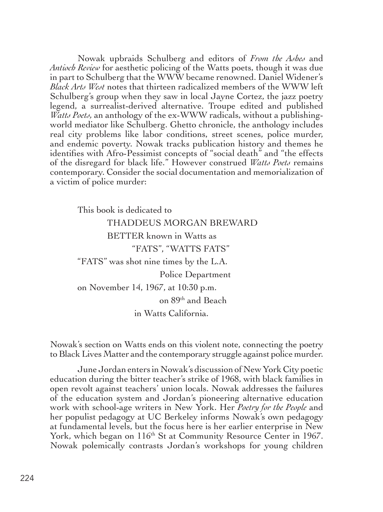Nowak upbraids Schulberg and editors of *From the Ashes* and *Antioch Review* for aesthetic policing of the Watts poets, though it was due in part to Schulberg that the WWW became renowned. Daniel Widener's *Black Arts West* notes that thirteen radicalized members of the WWW left Schulberg's group when they saw in local Jayne Cortez, the jazz poetry legend, a surrealist-derived alternative. Troupe edited and published *Watts Poets,* an anthology of the ex-WWW radicals, without a publishingworld mediator like Schulberg. Ghetto chronicle, the anthology includes real city problems like labor conditions, street scenes, police murder, and endemic poverty. Nowak tracks publication history and themes he identifies with Afro-Pessimist concepts of "social death" and "the effects of the disregard for black life." However construed *Watts Poets* remains contemporary. Consider the social documentation and memorialization of a victim of police murder:

This book is dedicated to THADDEUS MORGAN BREWARD BETTER known in Watts as "FATS", "WATTS FATS" "FATS" was shot nine times by the L.A. Police Department on November 14, 1967, at 10:30 p.m. on 89th and Beach in Watts California.

Nowak's section on Watts ends on this violent note, connecting the poetry to Black Lives Matter and the contemporary struggle against police murder.

June Jordan enters in Nowak's discussion of New York City poetic education during the bitter teacher's strike of 1968, with black families in open revolt against teachers' union locals. Nowak addresses the failures of the education system and Jordan's pioneering alternative education work with school-age writers in New York. Her *Poetry for the People* and her populist pedagogy at UC Berkeley informs Nowak's own pedagogy at fundamental levels, but the focus here is her earlier enterprise in New York, which began on 116<sup>th</sup> St at Community Resource Center in 1967. Nowak polemically contrasts Jordan's workshops for young children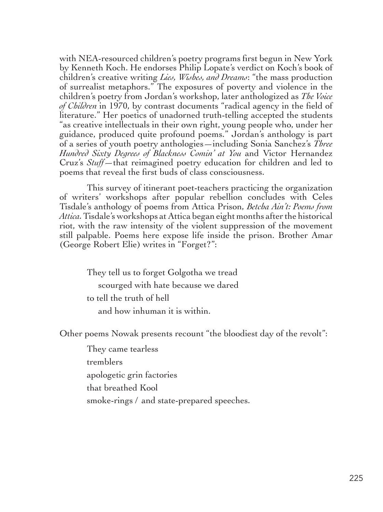with NEA-resourced children's poetry programs first begun in New York by Kenneth Koch. He endorses Philip Lopate's verdict on Koch's book of children's creative writing *Lies, Wishes, and Dreams*: "the mass production of surrealist metaphors." The exposures of poverty and violence in the children's poetry from Jordan's workshop, later anthologized as *The Voice of Children* in 1970, by contrast documents "radical agency in the field of literature." Her poetics of unadorned truth-telling accepted the students "as creative intellectuals in their own right, young people who, under her guidance, produced quite profound poems." Jordan's anthology is part of a series of youth poetry anthologies—including Sonia Sanchez's *Three Hundred Sixty Degrees of Blackness Comin' at You* and Victor Hernandez Cruz's *Stuff—*that reimagined poetry education for children and led to poems that reveal the first buds of class consciousness.

This survey of itinerant poet-teachers practicing the organization of writers' workshops after popular rebellion concludes with Celes Tisdale's anthology of poems from Attica Prison, *Betcha Ain't: Poems from Attica.* Tisdale's workshops at Attica began eight months after the historical riot, with the raw intensity of the violent suppression of the movement still palpable. Poems here expose life inside the prison. Brother Amar (George Robert Elie) writes in "Forget?":

> They tell us to forget Golgotha we tread scourged with hate because we dared to tell the truth of hell and how inhuman it is within.

Other poems Nowak presents recount "the bloodiest day of the revolt":

They came tearless tremblers apologetic grin factories that breathed Kool smoke-rings / and state-prepared speeches.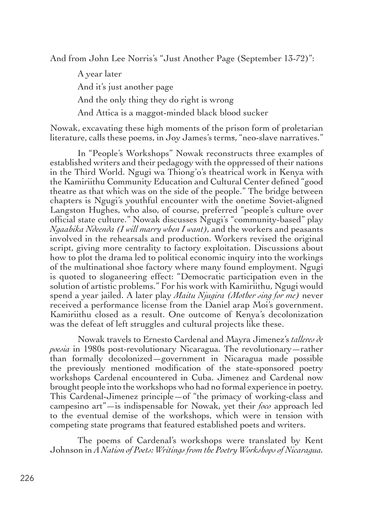And from John Lee Norris's "Just Another Page (September 13-72)":

A year later And it's just another page And the only thing they do right is wrong And Attica is a maggot-minded black blood sucker

Nowak, excavating these high moments of the prison form of proletarian literature, calls these poems, in Joy James's terms, "neo-slave narratives."

In "People's Workshops" Nowak reconstructs three examples of established writers and their pedagogy with the oppressed of their nations in the Third World. Ngugi wa Thiong'o's theatrical work in Kenya with the Kamiriithu Community Education and Cultural Center defined "good theatre as that which was on the side of the people." The bridge between chapters is Ngugi's youthful encounter with the onetime Soviet-aligned Langston Hughes, who also, of course, preferred "people's culture over official state culture." Nowak discusses Ngugi's "community-based" play *Ngaahika Ndeenda (I will marry when I want),* and the workers and peasants involved in the rehearsals and production. Workers revised the original script, giving more centrality to factory exploitation. Discussions about how to plot the drama led to political economic inquiry into the workings of the multinational shoe factory where many found employment. Ngugi is quoted to sloganeering effect: "Democratic participation even in the solution of artistic problems." For his work with Kamiriithu, Ngugi would spend a year jailed. A later play *Maitu Njugira (Mother sing for me)* never received a performance license from the Daniel arap Moi's government. Kamiriithu closed as a result. One outcome of Kenya's decolonization was the defeat of left struggles and cultural projects like these.

Nowak travels to Ernesto Cardenal and Mayra Jimenez's *talleres de poesia* in 1980s post-revolutionary Nicaragua. The revolutionary—rather than formally decolonized—government in Nicaragua made possible the previously mentioned modification of the state-sponsored poetry workshops Cardenal encountered in Cuba. Jimenez and Cardenal now brought people into the workshops who had no formal experience in poetry. This Cardenal-Jimenez principle—of "the primacy of working-class and campesino art"—is indispensable for Nowak, yet their *foco* approach led to the eventual demise of the workshops, which were in tension with competing state programs that featured established poets and writers.

The poems of Cardenal's workshops were translated by Kent Johnson in *A Nation of Poets: Writings from the Poetry Workshops of Nicaragua.*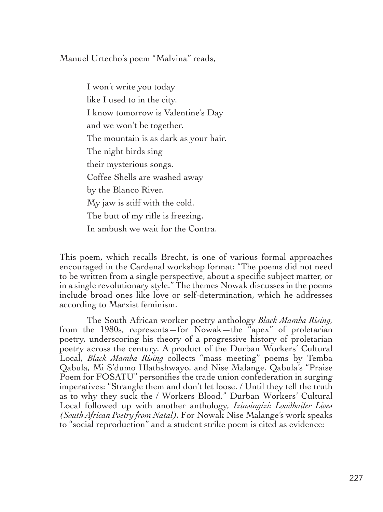Manuel Urtecho's poem "Malvina" reads,

I won't write you today like I used to in the city. I know tomorrow is Valentine's Day and we won't be together. The mountain is as dark as your hair. The night birds sing their mysterious songs. Coffee Shells are washed away by the Blanco River. My jaw is stiff with the cold. The butt of my rifle is freezing. In ambush we wait for the Contra.

This poem, which recalls Brecht, is one of various formal approaches encouraged in the Cardenal workshop format: "The poems did not need to be written from a single perspective, about a specific subject matter, or in a single revolutionary style." The themes Nowak discusses in the poems include broad ones like love or self-determination, which he addresses according to Marxist feminism.

The South African worker poetry anthology *Black Mamba Rising,* from the 1980s, represents—for Nowak—the "apex" of proletarian poetry, underscoring his theory of a progressive history of proletarian poetry across the century. A product of the Durban Workers' Cultural Local, *Black Mamba Rising* collects "mass meeting" poems by Temba Qabula, Mi S'dumo Hlathshwayo, and Nise Malange. Qabula's "Praise Poem for FOSATU" personifies the trade union confederation in surging imperatives: "Strangle them and don't let loose. / Until they tell the truth as to why they suck the / Workers Blood." Durban Workers' Cultural Local followed up with another anthology, *Izinsingizi: Loudhailer Lives (South African Poetry from Natal).* For Nowak Nise Malange's work speaks to "social reproduction" and a student strike poem is cited as evidence: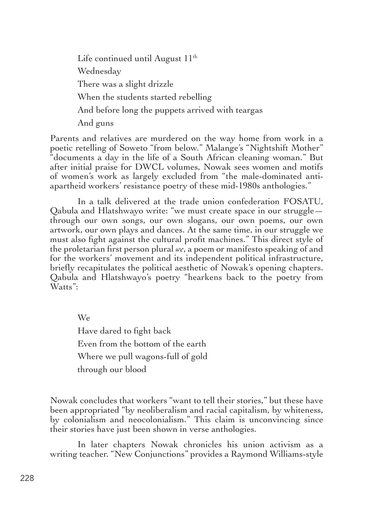Life continued until August 11th Wednesday There was a slight drizzle When the students started rebelling And before long the puppets arrived with teargas And guns

Parents and relatives are murdered on the way home from work in a poetic retelling of Soweto "from below." Malange's "Nightshift Mother" "documents a day in the life of a South African cleaning woman." But after initial praise for DWCL volumes, Nowak sees women and motifs of women's work as largely excluded from "the male-dominated antiapartheid workers' resistance poetry of these mid-1980s anthologies."

In a talk delivered at the trade union confederation FOSATU, Qabula and Hlatshwayo write: "we must create space in our struggle through our own songs, our own slogans, our own poems, our own artwork, our own plays and dances. At the same time, in our struggle we must also fight against the cultural profit machines." This direct style of the proletarian first person plural *we*, a poem or manifesto speaking of and for the workers' movement and its independent political infrastructure, briefly recapitulates the political aesthetic of Nowak's opening chapters. Qabula and Hlatshwayo's poetry "hearkens back to the poetry from Watts":

We Have dared to fight back Even from the bottom of the earth Where we pull wagons-full of gold through our blood

Nowak concludes that workers "want to tell their stories," but these have been appropriated "by neoliberalism and racial capitalism, by whiteness, by colonialism and neocolonialism." This claim is unconvincing since their stories have just been shown in verse anthologies.

In later chapters Nowak chronicles his union activism as a writing teacher. "New Conjunctions" provides a Raymond Williams-style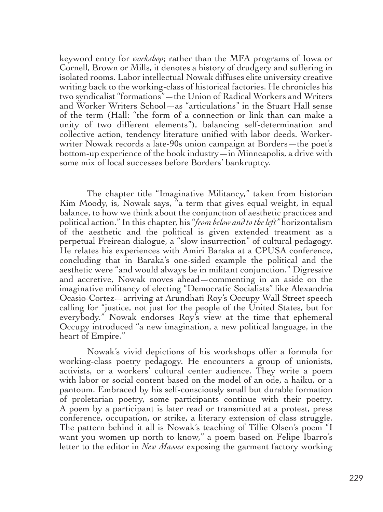keyword entry for *workshop*; rather than the MFA programs of Iowa or Cornell, Brown or Mills, it denotes a history of drudgery and suffering in isolated rooms. Labor intellectual Nowak diffuses elite university creative writing back to the working-class of historical factories. He chronicles his two syndicalist "formations"—the Union of Radical Workers and Writers and Worker Writers School—as "articulations" in the Stuart Hall sense of the term (Hall: "the form of a connection or link than can make a unity of two different elements"), balancing self-determination and collective action, tendency literature unified with labor deeds. Workerwriter Nowak records a late-90s union campaign at Borders—the poet's bottom-up experience of the book industry—in Minneapolis, a drive with some mix of local successes before Borders' bankruptcy.

The chapter title "Imaginative Militancy," taken from historian Kim Moody, is, Nowak says, "a term that gives equal weight, in equal balance, to how we think about the conjunction of aesthetic practices and political action." In this chapter, his "*from below and to the left"* horizontalism of the aesthetic and the political is given extended treatment as a perpetual Freirean dialogue, a "slow insurrection" of cultural pedagogy. He relates his experiences with Amiri Baraka at a CPUSA conference, concluding that in Baraka's one-sided example the political and the aesthetic were "and would always be in militant conjunction." Digressive and accretive, Nowak moves ahead—commenting in an aside on the imaginative militancy of electing "Democratic Socialists" like Alexandria Ocasio-Cortez—arriving at Arundhati Roy's Occupy Wall Street speech calling for "justice, not just for the people of the United States, but for everybody." Nowak endorses Roy's view at the time that ephemeral Occupy introduced "a new imagination, a new political language, in the heart of Empire."

Nowak's vivid depictions of his workshops offer a formula for working-class poetry pedagogy. He encounters a group of unionists, activists, or a workers' cultural center audience. They write a poem with labor or social content based on the model of an ode, a haiku, or a pantoum. Embraced by his self-consciously small but durable formation of proletarian poetry, some participants continue with their poetry. A poem by a participant is later read or transmitted at a protest, press conference, occupation, or strike, a literary extension of class struggle. The pattern behind it all is Nowak's teaching of Tillie Olsen's poem "I want you women up north to know," a poem based on Felipe Ibarro's letter to the editor in *New Masses* exposing the garment factory working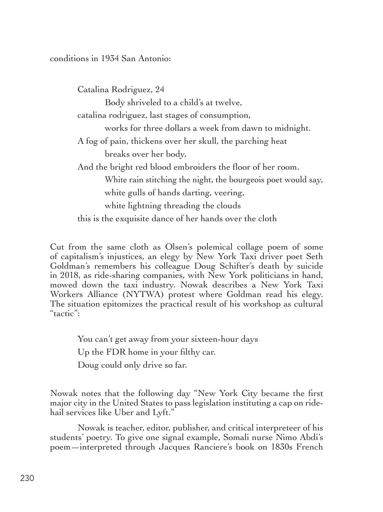conditions in 1934 San Antonio:

Catalina Rodriguez, 24 Body shriveled to a child's at twelve, catalina rodriguez, last stages of consumption, works for three dollars a week from dawn to midnight. A fog of pain, thickens over her skull, the parching heat breaks over her body, And the bright red blood embroiders the floor of her room. White rain stitching the night, the bourgeois poet would say, white gulls of hands darting, veering, white lightning threading the clouds this is the exquisite dance of her hands over the cloth

Cut from the same cloth as Olsen's polemical collage poem of some of capitalism's injustices, an elegy by New York Taxi driver poet Seth Goldman's remembers his colleague Doug Schifter's death by suicide in 2018, as ride-sharing companies, with New York politicians in hand, mowed down the taxi industry. Nowak describes a New York Taxi Workers Alliance (NYTWA) protest where Goldman read his elegy. The situation epitomizes the practical result of his workshop as cultural "tactic":

You can't get away from your sixteen-hour days

Up the FDR home in your filthy car.

Doug could only drive so far.

Nowak notes that the following day "New York City became the first major city in the United States to pass legislation instituting a cap on ridehail services like Uber and Lyft."

Nowak is teacher, editor, publisher, and critical interpreteer of his students' poetry. To give one signal example, Somali nurse Nimo Abdi's poem—interpreted through Jacques Ranciere's book on 1830s French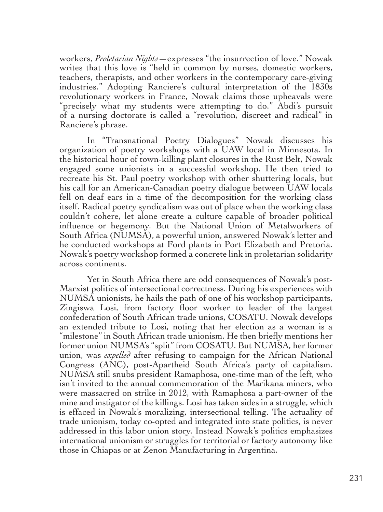workers, *Proletarian Nights*—expresses "the insurrection of love." Nowak writes that this love is "held in common by nurses, domestic workers, teachers, therapists, and other workers in the contemporary care-giving industries." Adopting Ranciere's cultural interpretation of the 1830s revolutionary workers in France, Nowak claims those upheavals were "precisely what my students were attempting to do." Abdi's pursuit of a nursing doctorate is called a "revolution, discreet and radical" in Ranciere's phrase.

In "Transnational Poetry Dialogues" Nowak discusses his organization of poetry workshops with a UAW local in Minnesota. In the historical hour of town-killing plant closures in the Rust Belt, Nowak engaged some unionists in a successful workshop. He then tried to recreate his St. Paul poetry workshop with other shuttering locals, but his call for an American-Canadian poetry dialogue between UAW locals fell on deaf ears in a time of the decomposition for the working class itself. Radical poetry syndicalism was out of place when the working class couldn't cohere, let alone create a culture capable of broader political influence or hegemony. But the National Union of Metalworkers of South Africa (NUMSA), a powerful union, answered Nowak's letter and he conducted workshops at Ford plants in Port Elizabeth and Pretoria. Nowak's poetry workshop formed a concrete link in proletarian solidarity across continents.

Yet in South Africa there are odd consequences of Nowak's post-Marxist politics of intersectional correctness. During his experiences with NUMSA unionists, he hails the path of one of his workshop participants, Zingiswa Losi, from factory floor worker to leader of the largest confederation of South African trade unions, COSATU. Nowak develops an extended tribute to Losi, noting that her election as a woman is a "milestone" in South African trade unionism. He then briefly mentions her former union NUMSA's "split" from COSATU. But NUMSA, her former union, was *expelled* after refusing to campaign for the African National Congress (ANC), post-Apartheid South Africa's party of capitalism. NUMSA still snubs president Ramaphosa, one-time man of the left, who isn't invited to the annual commemoration of the Marikana miners, who were massacred on strike in 2012, with Ramaphosa a part-owner of the mine and instigator of the killings. Losi has taken sides in a struggle, which is effaced in Nowak's moralizing, intersectional telling. The actuality of trade unionism, today co-opted and integrated into state politics, is never addressed in this labor union story. Instead Nowak's politics emphasizes international unionism or struggles for territorial or factory autonomy like those in Chiapas or at Zenon Manufacturing in Argentina.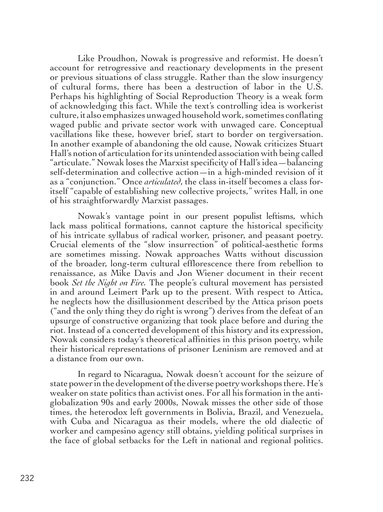Like Proudhon, Nowak is progressive and reformist. He doesn't account for retrogressive and reactionary developments in the present or previous situations of class struggle. Rather than the slow insurgency of cultural forms, there has been a destruction of labor in the U.S. Perhaps his highlighting of Social Reproduction Theory is a weak form of acknowledging this fact. While the text's controlling idea is workerist culture, it also emphasizes unwaged household work, sometimes conflating waged public and private sector work with unwaged care. Conceptual vacillations like these, however brief, start to border on tergiversation. In another example of abandoning the old cause, Nowak criticizes Stuart Hall's notion of articulation for its unintended association with being called "articulate." Nowak loses the Marxist specificity of Hall's idea—balancing self-determination and collective action—in a high-minded revision of it as a "conjunction." Once *articulated*, the class in-itself becomes a class foritself "capable of establishing new collective projects," writes Hall, in one of his straightforwardly Marxist passages.

Nowak's vantage point in our present populist leftisms, which lack mass political formations, cannot capture the historical specificity of his intricate syllabus of radical worker, prisoner, and peasant poetry. Crucial elements of the "slow insurrection" of political-aesthetic forms are sometimes missing. Nowak approaches Watts without discussion of the broader, long-term cultural efflorescence there from rebellion to renaissance, as Mike Davis and Jon Wiener document in their recent book *Set the Night on Fire.* The people's cultural movement has persisted in and around Leimert Park up to the present. With respect to Attica, he neglects how the disillusionment described by the Attica prison poets ("and the only thing they do right is wrong") derives from the defeat of an upsurge of constructive organizing that took place before and during the riot. Instead of a concerted development of this history and its expression, Nowak considers today's theoretical affinities in this prison poetry, while their historical representations of prisoner Leninism are removed and at a distance from our own.

In regard to Nicaragua, Nowak doesn't account for the seizure of state power in the development of the diverse poetry workshops there. He's weaker on state politics than activist ones. For all his formation in the antiglobalization 90s and early 2000s, Nowak misses the other side of those times, the heterodox left governments in Bolivia, Brazil, and Venezuela, with Cuba and Nicaragua as their models, where the old dialectic of worker and campesino agency still obtains, yielding political surprises in the face of global setbacks for the Left in national and regional politics.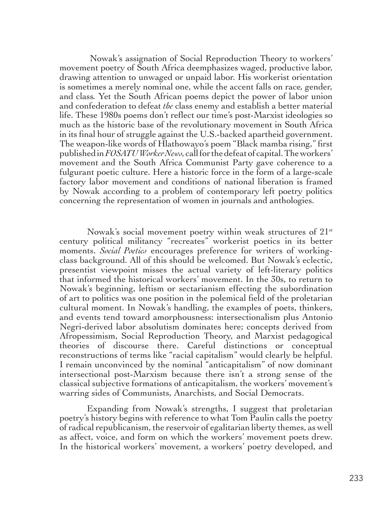Nowak's assignation of Social Reproduction Theory to workers' movement poetry of South Africa deemphasizes waged, productive labor, drawing attention to unwaged or unpaid labor. His workerist orientation is sometimes a merely nominal one, while the accent falls on race*,* gender*,*  and class*.* Yet the South African poems depict the power of labor union and confederation to defeat *the* class enemy and establish a better material life. These 1980s poems don't reflect our time's post-Marxist ideologies so much as the historic base of the revolutionary movement in South Africa in its final hour of struggle against the U.S.-backed apartheid government. The weapon-like words of Hlathowayo's poem "Black mamba rising," first published in *FOSATU Worker News,* call for the defeat of capital. The workers' movement and the South Africa Communist Party gave coherence to a fulgurant poetic culture. Here a historic force in the form of a large-scale factory labor movement and conditions of national liberation is framed by Nowak according to a problem of contemporary left poetry politics concerning the representation of women in journals and anthologies.

Nowak's social movement poetry within weak structures of  $21<sup>st</sup>$ century political militancy "recreates" workerist poetics in its better moments. *Social Poetics* encourages preference for writers of workingclass background. All of this should be welcomed. But Nowak's eclectic, presentist viewpoint misses the actual variety of left-literary politics that informed the historical workers' movement. In the 30s, to return to Nowak's beginning, leftism or sectarianism effecting the subordination of art to politics was one position in the polemical field of the proletarian cultural moment. In Nowak's handling, the examples of poets, thinkers, and events tend toward amorphousness: intersectionalism plus Antonio Negri-derived labor absolutism dominates here; concepts derived from Afropessimism, Social Reproduction Theory, and Marxist pedagogical theories of discourse there. Careful distinctions or conceptual reconstructions of terms like "racial capitalism" would clearly be helpful. I remain unconvinced by the nominal "anticapitalism" of now dominant intersectional post-Marxism because there isn't a strong sense of the classical subjective formations of anticapitalism, the workers' movement's warring sides of Communists, Anarchists, and Social Democrats.

Expanding from Nowak's strengths, I suggest that proletarian poetry's history begins with reference to what Tom Paulin calls the poetry of radical republicanism, the reservoir of egalitarian liberty themes, as well as affect, voice, and form on which the workers' movement poets drew. In the historical workers' movement, a workers' poetry developed, and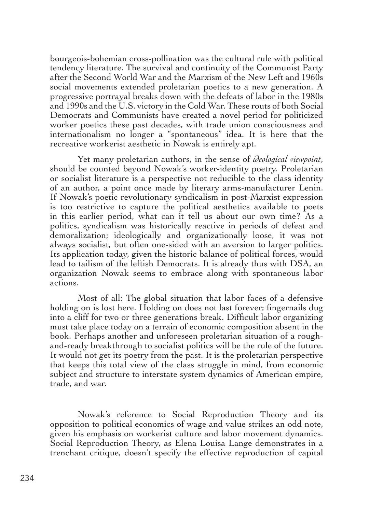bourgeois-bohemian cross-pollination was the cultural rule with political tendency literature. The survival and continuity of the Communist Party after the Second World War and the Marxism of the New Left and 1960s social movements extended proletarian poetics to a new generation. A progressive portrayal breaks down with the defeats of labor in the 1980s and 1990s and the U.S. victory in the Cold War. These routs of both Social Democrats and Communists have created a novel period for politicized worker poetics these past decades, with trade union consciousness and internationalism no longer a "spontaneous" idea. It is here that the recreative workerist aesthetic in Nowak is entirely apt.

Yet many proletarian authors, in the sense of *ideological viewpoint*, should be counted beyond Nowak's worker-identity poetry. Proletarian or socialist literature is a perspective not reducible to the class identity of an author, a point once made by literary arms-manufacturer Lenin. If Nowak's poetic revolutionary syndicalism in post-Marxist expression is too restrictive to capture the political aesthetics available to poets in this earlier period, what can it tell us about our own time? As a politics, syndicalism was historically reactive in periods of defeat and demoralization; ideologically and organizationally loose, it was not always socialist, but often one-sided with an aversion to larger politics. Its application today, given the historic balance of political forces, would lead to tailism of the leftish Democrats. It is already thus with DSA, an organization Nowak seems to embrace along with spontaneous labor actions.

Most of all: The global situation that labor faces of a defensive holding on is lost here. Holding on does not last forever; fingernails dug into a cliff for two or three generations break. Difficult labor organizing must take place today on a terrain of economic composition absent in the book. Perhaps another and unforeseen proletarian situation of a roughand-ready breakthrough to socialist politics will be the rule of the future. It would not get its poetry from the past. It is the proletarian perspective that keeps this total view of the class struggle in mind, from economic subject and structure to interstate system dynamics of American empire, trade, and war.

Nowak's reference to Social Reproduction Theory and its opposition to political economics of wage and value strikes an odd note, given his emphasis on workerist culture and labor movement dynamics. Social Reproduction Theory, as Elena Louisa Lange demonstrates in a trenchant critique, doesn't specify the effective reproduction of capital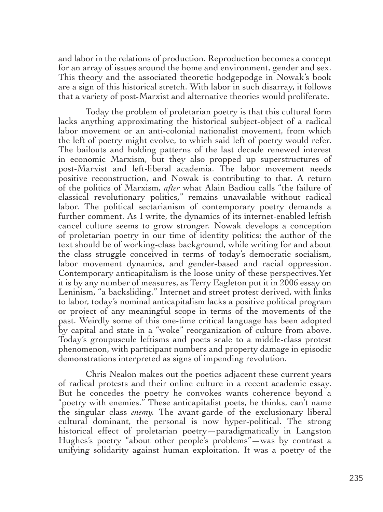and labor in the relations of production. Reproduction becomes a concept for an array of issues around the home and environment, gender and sex. This theory and the associated theoretic hodgepodge in Nowak's book are a sign of this historical stretch. With labor in such disarray, it follows that a variety of post-Marxist and alternative theories would proliferate.

Today the problem of proletarian poetry is that this cultural form lacks anything approximating the historical subject-object of a radical labor movement or an anti-colonial nationalist movement, from which the left of poetry might evolve, to which said left of poetry would refer. The bailouts and holding patterns of the last decade renewed interest in economic Marxism, but they also propped up superstructures of post-Marxist and left-liberal academia. The labor movement needs positive reconstruction, and Nowak is contributing to that. A return of the politics of Marxism, *after* what Alain Badiou calls "the failure of classical revolutionary politics," remains unavailable without radical labor. The political sectarianism of contemporary poetry demands a further comment. As I write, the dynamics of its internet-enabled leftish cancel culture seems to grow stronger. Nowak develops a conception of proletarian poetry in our time of identity politics; the author of the text should be of working-class background, while writing for and about the class struggle conceived in terms of today's democratic socialism, labor movement dynamics, and gender-based and racial oppression. Contemporary anticapitalism is the loose unity of these perspectives.Yet it is by any number of measures, as Terry Eagleton put it in 2006 essay on Leninism, "a backsliding." Internet and street protest derived, with links to labor, today's nominal anticapitalism lacks a positive political program or project of any meaningful scope in terms of the movements of the past. Weirdly some of this one-time critical language has been adopted by capital and state in a "woke" reorganization of culture from above. Today's groupuscule leftisms and poets scale to a middle-class protest phenomenon, with participant numbers and property damage in episodic demonstrations interpreted as signs of impending revolution.

Chris Nealon makes out the poetics adjacent these current years of radical protests and their online culture in a recent academic essay. But he concedes the poetry he convokes wants coherence beyond a "poetry with enemies." These anticapitalist poets, he thinks, can't name the singular class *enemy.* The avant-garde of the exclusionary liberal cultural dominant, the personal is now hyper-political. The strong historical effect of proletarian poetry—paradigmatically in Langston Hughes's poetry "about other people's problems"—was by contrast a unifying solidarity against human exploitation. It was a poetry of the